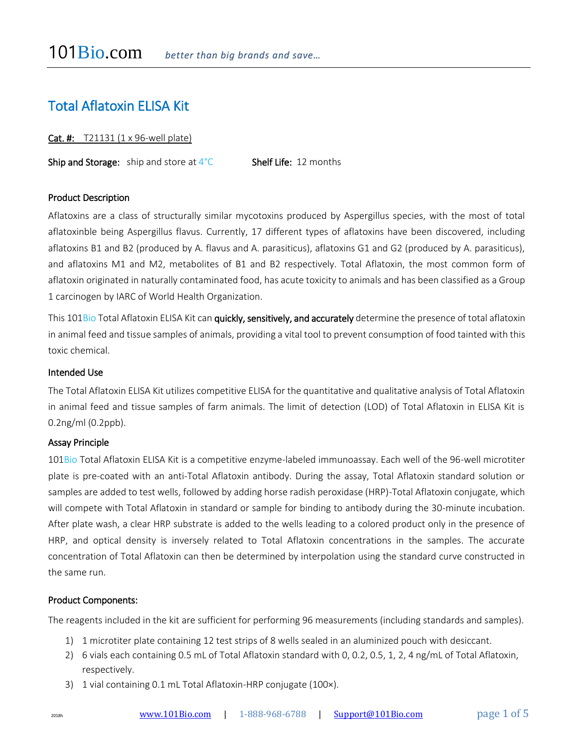# Total Aflatoxin ELISA Kit

Cat. #: T21131 (1 x 96-well plate)

**Ship and Storage:** ship and store at  $4^{\circ}$ C **Shelf Life:** 12 months

## Product Description

Aflatoxins are a class of structurally similar mycotoxins produced by Aspergillus species, with the most of total aflatoxinble being Aspergillus flavus. Currently, 17 different types of aflatoxins have been discovered, including aflatoxins B1 and B2 (produced by A. flavus and A. parasiticus), aflatoxins G1 and G2 (produced by A. parasiticus), and aflatoxins M1 and M2, metabolites of B1 and B2 respectively. Total Aflatoxin, the most common form of aflatoxin originated in naturally contaminated food, has acute toxicity to animals and has been classified as a Group 1 carcinogen by IARC of World Health Organization.

This 101Bio Total Aflatoxin ELISA Kit can quickly, sensitively, and accurately determine the presence of total aflatoxin in animal feed and tissue samples of animals, providing a vital tool to prevent consumption of food tainted with this toxic chemical.

# Intended Use

The Total Aflatoxin ELISA Kit utilizes competitive ELISA for the quantitative and qualitative analysis of Total Aflatoxin in animal feed and tissue samples of farm animals. The limit of detection (LOD) of Total Aflatoxin in ELISA Kit is 0.2ng/ml (0.2ppb).

#### Assay Principle

101Bio Total Aflatoxin ELISA Kit is a competitive enzyme-labeled immunoassay. Each well of the 96-well microtiter plate is pre-coated with an anti-Total Aflatoxin antibody. During the assay, Total Aflatoxin standard solution or samples are added to test wells, followed by adding horse radish peroxidase (HRP)-Total Aflatoxin conjugate, which will compete with Total Aflatoxin in standard or sample for binding to antibody during the 30-minute incubation. After plate wash, a clear HRP substrate is added to the wells leading to a colored product only in the presence of HRP, and optical density is inversely related to Total Aflatoxin concentrations in the samples. The accurate concentration of Total Aflatoxin can then be determined by interpolation using the standard curve constructed in the same run.

#### Product Components:

The reagents included in the kit are sufficient for performing 96 measurements (including standards and samples).

- 1) 1 microtiter plate containing 12 test strips of 8 wells sealed in an aluminized pouch with desiccant.
- 2) 6 vials each containing 0.5 mL of Total Aflatoxin standard with 0, 0.2, 0.5, 1, 2, 4 ng/mL of Total Aflatoxin, respectively.
- 3) 1 vial containing 0.1 mL Total Aflatoxin-HRP conjugate (100×).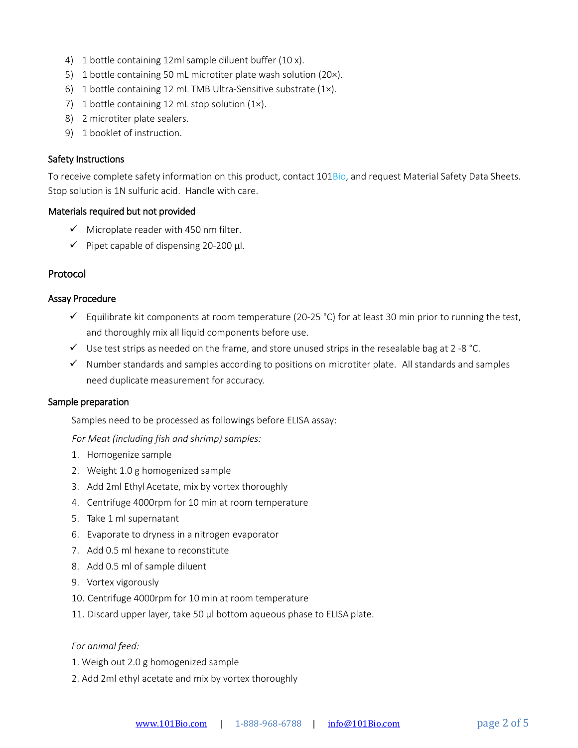- 4) 1 bottle containing 12ml sample diluent buffer (10 x).
- 5) 1 bottle containing 50 mL microtiter plate wash solution (20×).
- 6) 1 bottle containing 12 mL TMB Ultra-Sensitive substrate (1×).
- 7) 1 bottle containing 12 mL stop solution (1x).
- 8) 2 microtiter plate sealers.
- 9) 1 booklet of instruction.

## Safety Instructions

To receive complete safety information on this product, contact 101Bio, and request Material Safety Data Sheets. Stop solution is 1N sulfuric acid. Handle with care.

## Materials required but not provided

- $\checkmark$  Microplate reader with 450 nm filter.
- $\checkmark$  Pipet capable of dispensing 20-200 µl.

# Protocol

## Assay Procedure

- $\checkmark$  Equilibrate kit components at room temperature (20-25 °C) for at least 30 min prior to running the test, and thoroughly mix all liquid components before use.
- $\checkmark$  Use test strips as needed on the frame, and store unused strips in the resealable bag at 2 -8 °C.
- $\checkmark$  Number standards and samples according to positions on microtiter plate. All standards and samples need duplicate measurement for accuracy.

#### Sample preparation

Samples need to be processed as followings before ELISA assay:

*For Meat (including fish and shrimp) samples:* 

- 1. Homogenize sample
- 2. Weight 1.0 g homogenized sample
- 3. Add 2ml Ethyl Acetate, mix by vortex thoroughly
- 4. Centrifuge 4000rpm for 10 min at room temperature
- 5. Take 1 ml supernatant
- 6. Evaporate to dryness in a nitrogen evaporator
- 7. Add 0.5 ml hexane to reconstitute
- 8. Add 0.5 ml of sample diluent
- 9. Vortex vigorously
- 10. Centrifuge 4000rpm for 10 min at room temperature
- 11. Discard upper layer, take 50 µl bottom aqueous phase to ELISA plate.

#### *For animal feed:*

- 1. Weigh out 2.0 g homogenized sample
- 2. Add 2ml ethyl acetate and mix by vortex thoroughly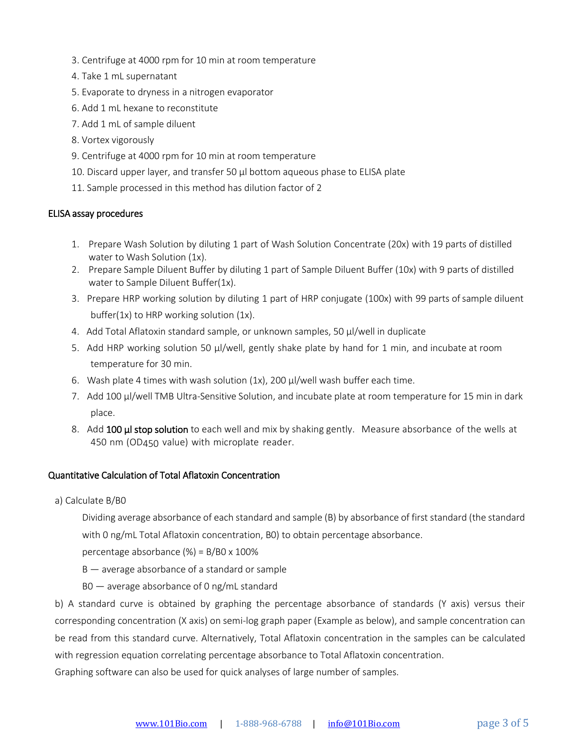- 3. Centrifuge at 4000 rpm for 10 min at room temperature
- 4. Take 1 mL supernatant
- 5. Evaporate to dryness in a nitrogen evaporator
- 6. Add 1 mL hexane to reconstitute
- 7. Add 1 mL of sample diluent
- 8. Vortex vigorously
- 9. Centrifuge at 4000 rpm for 10 min at room temperature
- 10. Discard upper layer, and transfer 50 µl bottom aqueous phase to ELISA plate
- 11. Sample processed in this method has dilution factor of 2

## ELISA assay procedures

- 1. Prepare Wash Solution by diluting 1 part of Wash Solution Concentrate (20x) with 19 parts of distilled water to Wash Solution (1x).
- 2. Prepare Sample Diluent Buffer by diluting 1 part of Sample Diluent Buffer (10x) with 9 parts of distilled water to Sample Diluent Buffer(1x).
- 3. Prepare HRP working solution by diluting 1 part of HRP conjugate (100x) with 99 parts ofsample diluent buffer(1x) to HRP working solution (1x).
- 4. Add Total Aflatoxin standard sample, or unknown samples, 50 µl/well in duplicate
- 5. Add HRP working solution 50 µl/well, gently shake plate by hand for 1 min, and incubate at room temperature for 30 min.
- 6. Wash plate 4 times with wash solution  $(1x)$ , 200  $\mu$ /well wash buffer each time.
- 7. Add 100 µl/well TMB Ultra-Sensitive Solution, and incubate plate at room temperature for 15 min in dark place.
- 8. Add 100 µl stop solution to each well and mix by shaking gently. Measure absorbance of the wells at 450 nm (OD450 value) with microplate reader.

## Quantitative Calculation of Total Aflatoxin Concentration

a) Calculate B/B0

Dividing average absorbance of each standard and sample (B) by absorbance of first standard (the standard with 0 ng/mL Total Aflatoxin concentration, B0) to obtain percentage absorbance.

percentage absorbance (%) = B/B0 x 100%

- $B$  average absorbance of a standard or sample
- B0 average absorbance of 0 ng/mL standard

b) A standard curve is obtained by graphing the percentage absorbance of standards (Y axis) versus their corresponding concentration (X axis) on semi-log graph paper (Example as below), and sample concentration can be read from this standard curve. Alternatively, Total Aflatoxin concentration in the samples can be calculated with regression equation correlating percentage absorbance to Total Aflatoxin concentration.

Graphing software can also be used for quick analyses of large number of samples.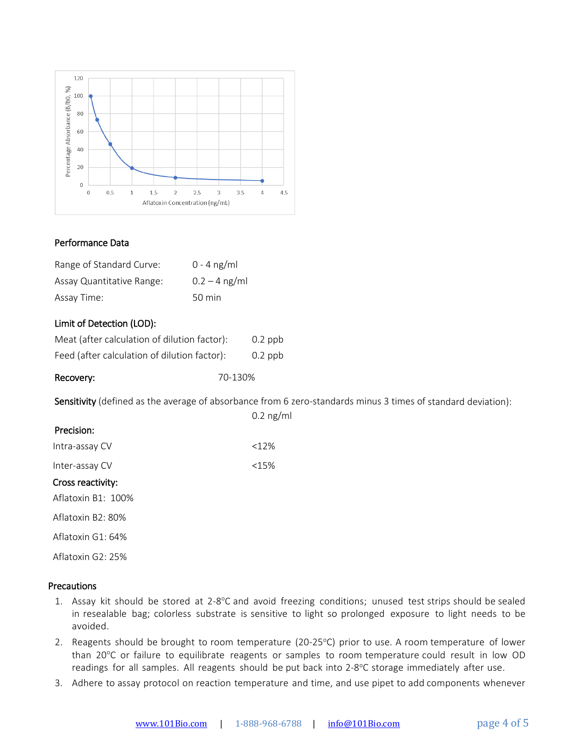

## Performance Data

| Range of Standard Curve:  | $0 - 4$ ng/ml    |
|---------------------------|------------------|
| Assay Quantitative Range: | $0.2 - 4$ ng/ml  |
| Assay Time:               | $50 \text{ min}$ |

## Limit of Detection (LOD):

| Meat (after calculation of dilution factor): | $0.2$ ppb |
|----------------------------------------------|-----------|
| Feed (after calculation of dilution factor): | $0.2$ ppb |

| Recovery: | 70-130% |
|-----------|---------|
|-----------|---------|

Sensitivity (defined as the average of absorbance from 6 zero-standards minus 3 times of standard deviation):

|                    | $0.2$ ng/ml |
|--------------------|-------------|
| Precision:         |             |
| Intra-assay CV     | <12%        |
| Inter-assay CV     | <15%        |
| Cross reactivity:  |             |
| Aflatoxin B1: 100% |             |
| Aflatoxin B2: 80%  |             |
| Aflatoxin $G1:64%$ |             |
|                    |             |

Aflatoxin G2: 25%

## **Precautions**

- 1. Assay kit should be stored at 2-8°C and avoid freezing conditions; unused test strips should be sealed in resealable bag; colorless substrate is sensitive to light so prolonged exposure to light needs to be avoided.
- 2. Reagents should be brought to room temperature (20-25°C) prior to use. A room temperature of lower than 20°C or failure to equilibrate reagents or samples to room temperature could result in low OD readings for all samples. All reagents should be put back into 2-8°C storage immediately after use.
- 3. Adhere to assay protocol on reaction temperature and time, and use pipet to add components whenever